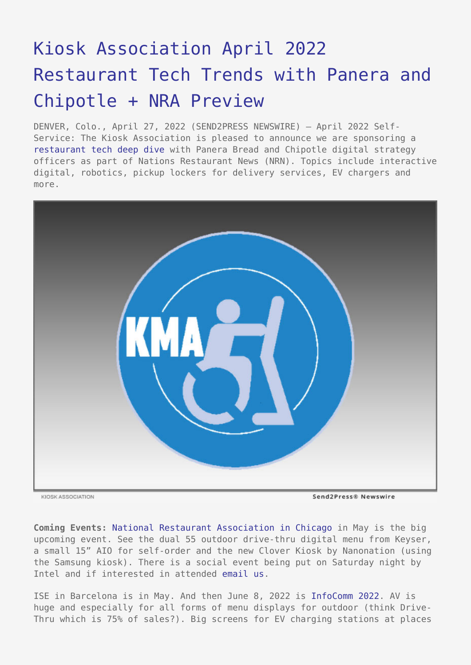## [Kiosk Association April 2022](https://www.send2press.com/wire/kiosk-association-april-2022-restaurant-tech-trends-with-panera-and-chipotle-nra-preview/) [Restaurant Tech Trends with Panera and](https://www.send2press.com/wire/kiosk-association-april-2022-restaurant-tech-trends-with-panera-and-chipotle-nra-preview/) [Chipotle + NRA Preview](https://www.send2press.com/wire/kiosk-association-april-2022-restaurant-tech-trends-with-panera-and-chipotle-nra-preview/)

DENVER, Colo., April 27, 2022 (SEND2PRESS NEWSWIRE) — April 2022 Self-Service: The Kiosk Association is pleased to announce we are sponsoring a [restaurant tech deep dive](https://kioskindustry.org/restaurant-tech-news-paneras-chief-digital-office-talks-restaurant-tech/) with Panera Bread and Chipotle digital strategy officers as part of Nations Restaurant News (NRN). Topics include interactive digital, robotics, pickup lockers for delivery services, EV chargers and more.



KIOSK ASSOCIATION

**Coming Events:** [National Restaurant Association in Chicago i](https://directory.nationalrestaurantshow.com/8_0/exhibitor/exhibitor-details.cfm?exhid=62520315)n May is the big upcoming event. See the dual 55 outdoor drive-thru digital menu from Keyser, a small 15" AIO for self-order and the new Clover Kiosk by Nanonation (using the Samsung kiosk). There is a social event being put on Saturday night by Intel and if interested in attended [email us.](mailto:info@kioskindustry.org)

ISE in Barcelona is in May. And then June 8, 2022 is [InfoComm 2022.](https://kioskindustry.org/infocomm-avixa-media-partner/) AV is huge and especially for all forms of menu displays for outdoor (think Drive-Thru which is 75% of sales?). Big screens for EV charging stations at places

Send2Press® Newswire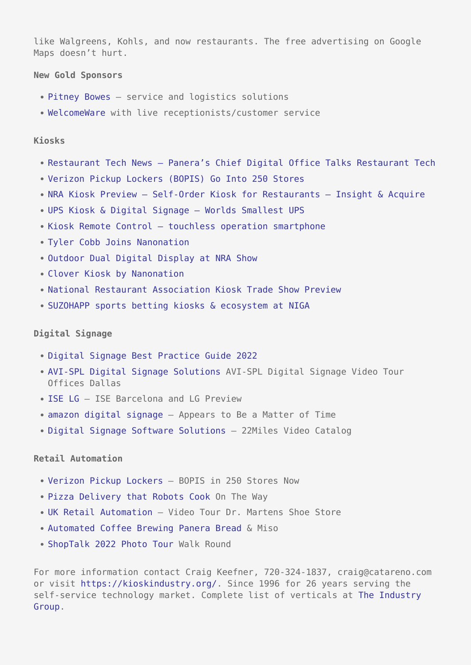like Walgreens, Kohls, and now restaurants. The free advertising on Google Maps doesn't hurt.

**New Gold Sponsors**

- [Pitney Bowes](https://www.pitneybowes.com/us/business-services/managed-services.html)  service and logistics solutions
- [WelcomeWare w](https://www.welcomeware.live/)ith live receptionists/customer service

**Kiosks**

- Restaurant Tech News Panera's Chief Digital Office Talks Restaurant Tech
- [Verizon Pickup Lockers \(BOPIS\) Go Into 250 Stores](https://kioskindustry.org/verizon-pickup-lockers-bopis-go-into-250-stores/)
- NRA Kiosk Preview Self-Order Kiosk for Restaurants Insight & Acquire
- [UPS Kiosk & Digital Signage Worlds Smallest UPS](https://kioskindustry.org/ups-kiosk-digital-signage-worlds-smallest-ups-xtreme-power-j60/)
- [Kiosk Remote Control touchless operation smartphone](https://kioskindustry.org/kiosk-remote-control-touchless-operation-using-smartphone/)
- [Tyler Cobb Joins Nanonation](https://kioskindustry.org/for-immediate-release-tyler-cobb-joins-nanonation-as-senior-enterprise-account-executive/)
- [Outdoor Dual Digital Display at NRA Show](https://kioskindustry.org/outdoor-dual-digital-display-at-nra-show/)
- [Clover Kiosk by Nanonation](https://kioskindustry.org/clover-kiosk-by-nanonation-platform-is-samsung-kiosk/)
- [National Restaurant Association Kiosk Trade Show Preview](https://kioskindustry.org/national-restaurant-association-kiosk-trade-show/)
- [SUZOHAPP sports betting kiosks & ecosystem at NIGA](https://kioskindustry.org/suzohapp-sports-betting-kiosks-ecosystem-at-niga/)

## **Digital Signage**

- [Digital Signage Best Practice Guide 2022](https://digital-signage.blog/digital-signage-best-practice-guide-2022/)
- [AVI-SPL Digital Signage Solutions](https://digital-signage.blog/avi-spl-digital-signage-video-tour-offices-dallas/) AVI-SPL Digital Signage Video Tour Offices Dallas
- [ISE LG](https://digital-signage.blog/ise-barcelona-and-lg-preview/) ISE Barcelona and LG Preview
- [amazon digital signage](https://digital-signage.blog/amazon-digital-signage-appears-to-be-matter-of-time/) Appears to Be a Matter of Time
- [Digital Signage Software Solutions](https://digital-signage.blog/digital-signage-software-solutions-22miles-video-catalog-healthcare-hoteling-convention-centers-and-more/)  22Miles Video Catalog

## **Retail Automation**

- [Verizon Pickup Lockers](https://retailsystems.org/verizon-pickup-lockers-bopis-in-250-stores-now/) BOPIS in 250 Stores Now
- [Pizza Delivery that Robots Cook](https://retailsystems.org/pizza-delivery-that-robots-cook-on-the-way/) On The Way
- [UK Retail Automation](https://retailsystems.org/uk-retail-automation-video-tour-of-dr-martens-shoe-store/)  Video Tour Dr. Martens Shoe Store
- [Automated Coffee Brewing Panera Bread](https://retailsystems.org/automated-coffee-brewing-panera-brea-miso/) & Miso
- [ShopTalk 2022 Photo Tour](https://retailsystems.org/shoptalk-2022-photo-tour-walk-round/) Walk Round

For more information contact Craig Keefner, 720-324-1837, craig@catareno.com or visit<https://kioskindustry.org/>. Since 1996 for 26 years serving the self-service technology market. Complete list of verticals at [The Industry](https://industrygroup.org/) [Group.](https://industrygroup.org/)